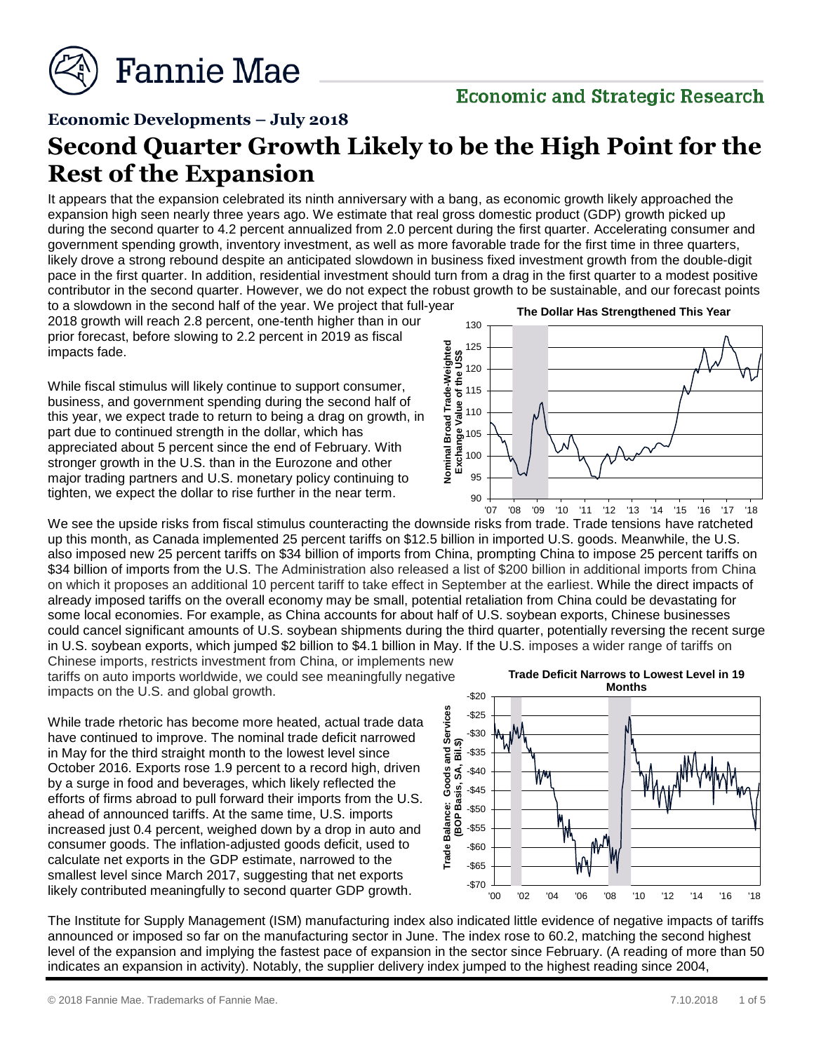

# **Economic and Strategic Research**

#### **Economic Developments – July 2018**

# **Second Quarter Growth Likely to be the High Point for the Rest of the Expansion**

It appears that the expansion celebrated its ninth anniversary with a bang, as economic growth likely approached the expansion high seen nearly three years ago. We estimate that real gross domestic product (GDP) growth picked up during the second quarter to 4.2 percent annualized from 2.0 percent during the first quarter. Accelerating consumer and government spending growth, inventory investment, as well as more favorable trade for the first time in three quarters, likely drove a strong rebound despite an anticipated slowdown in business fixed investment growth from the double-digit pace in the first quarter. In addition, residential investment should turn from a drag in the first quarter to a modest positive contributor in the second quarter. However, we do not expect the robust growth to be sustainable, and our forecast points

to a slowdown in the second half of the year. We project that full-year 2018 growth will reach 2.8 percent, one-tenth higher than in our prior forecast, before slowing to 2.2 percent in 2019 as fiscal impacts fade.

While fiscal stimulus will likely continue to support consumer, business, and government spending during the second half of this year, we expect trade to return to being a drag on growth, in part due to continued strength in the dollar, which has appreciated about 5 percent since the end of February. With stronger growth in the U.S. than in the Eurozone and other major trading partners and U.S. monetary policy continuing to tighten, we expect the dollar to rise further in the near term.



We see the upside risks from fiscal stimulus counteracting the downside risks from trade. Trade tensions have ratcheted up this month, as Canada implemented 25 percent tariffs on \$12.5 billion in imported U.S. goods. Meanwhile, the U.S. also imposed new 25 percent tariffs on \$34 billion of imports from China, prompting China to impose 25 percent tariffs on \$34 billion of imports from the U.S. The Administration also released a list of \$200 billion in additional imports from China on which it proposes an additional 10 percent tariff to take effect in September at the earliest. While the direct impacts of already imposed tariffs on the overall economy may be small, potential retaliation from China could be devastating for some local economies. For example, as China accounts for about half of U.S. soybean exports, Chinese businesses could cancel significant amounts of U.S. soybean shipments during the third quarter, potentially reversing the recent surge in U.S. soybean exports, which jumped \$2 billion to \$4.1 billion in May. If the U.S. imposes a wider range of tariffs on

Chinese imports, restricts investment from China, or implements new tariffs on auto imports worldwide, we could see meaningfully negative impacts on the U.S. and global growth.

While trade rhetoric has become more heated, actual trade data have continued to improve. The nominal trade deficit narrowed in May for the third straight month to the lowest level since October 2016. Exports rose 1.9 percent to a record high, driven by a surge in food and beverages, which likely reflected the efforts of firms abroad to pull forward their imports from the U.S. ahead of announced tariffs. At the same time, U.S. imports increased just 0.4 percent, weighed down by a drop in auto and consumer goods. The inflation-adjusted goods deficit, used to calculate net exports in the GDP estimate, narrowed to the smallest level since March 2017, suggesting that net exports likely contributed meaningfully to second quarter GDP growth.



The Institute for Supply Management (ISM) manufacturing index also indicated little evidence of negative impacts of tariffs announced or imposed so far on the manufacturing sector in June. The index rose to 60.2, matching the second highest level of the expansion and implying the fastest pace of expansion in the sector since February. (A reading of more than 50 indicates an expansion in activity). Notably, the supplier delivery index jumped to the highest reading since 2004,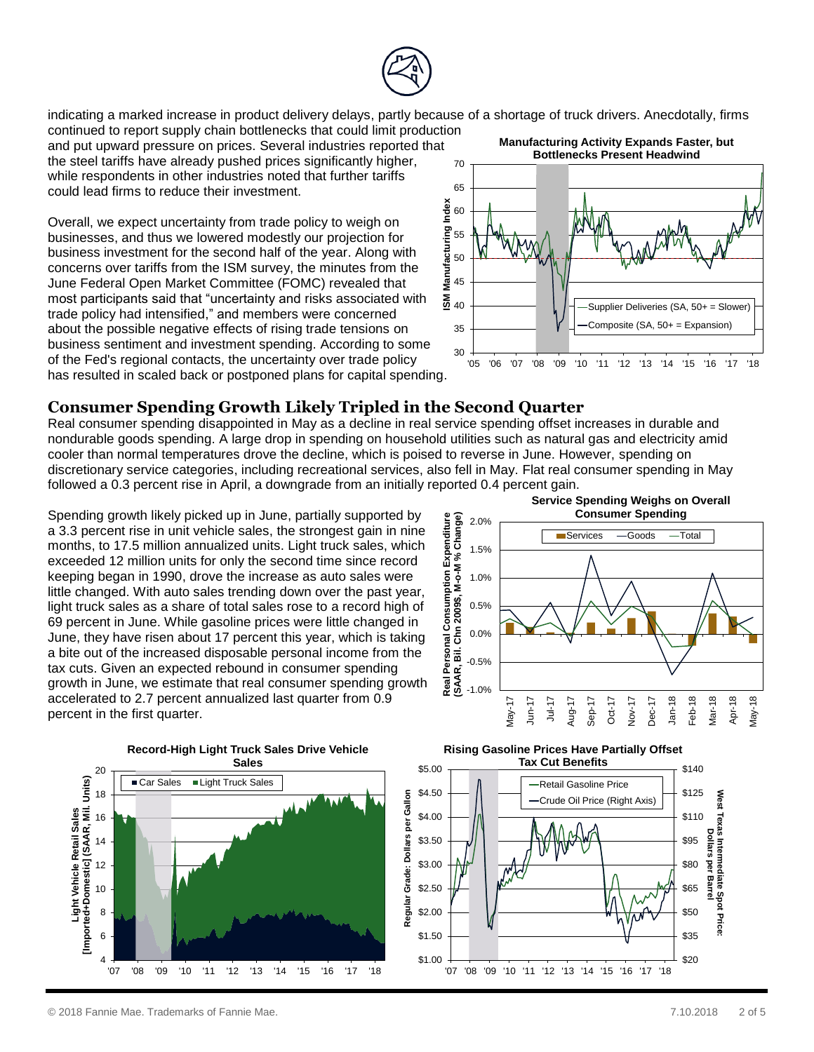

indicating a marked increase in product delivery delays, partly because of a shortage of truck drivers. Anecdotally, firms

continued to report supply chain bottlenecks that could limit production and put upward pressure on prices. Several industries reported that the steel tariffs have already pushed prices significantly higher, while respondents in other industries noted that further tariffs could lead firms to reduce their investment.

Overall, we expect uncertainty from trade policy to weigh on businesses, and thus we lowered modestly our projection for business investment for the second half of the year. Along with concerns over tariffs from the ISM survey, the minutes from the June Federal Open Market Committee (FOMC) revealed that most participants said that "uncertainty and risks associated with trade policy had intensified," and members were concerned about the possible negative effects of rising trade tensions on business sentiment and investment spending. According to some of the Fed's regional contacts, the uncertainty over trade policy has resulted in scaled back or postponed plans for capital spending.



# **Consumer Spending Growth Likely Tripled in the Second Quarter**

Real consumer spending disappointed in May as a decline in real service spending offset increases in durable and nondurable goods spending. A large drop in spending on household utilities such as natural gas and electricity amid cooler than normal temperatures drove the decline, which is poised to reverse in June. However, spending on discretionary service categories, including recreational services, also fell in May. Flat real consumer spending in May followed a 0.3 percent rise in April, a downgrade from an initially reported 0.4 percent gain.

Spending growth likely picked up in June, partially supported by a 3.3 percent rise in unit vehicle sales, the strongest gain in nine months, to 17.5 million annualized units. Light truck sales, which exceeded 12 million units for only the second time since record keeping began in 1990, drove the increase as auto sales were little changed. With auto sales trending down over the past year, light truck sales as a share of total sales rose to a record high of 69 percent in June. While gasoline prices were little changed in June, they have risen about 17 percent this year, which is taking a bite out of the increased disposable personal income from the tax cuts. Given an expected rebound in consumer spending growth in June, we estimate that real consumer spending growth accelerated to 2.7 percent annualized last quarter from 0.9 percent in the first quarter.





**Rising Gasoline Prices Have Partially Offset Tax Cut Benefits**

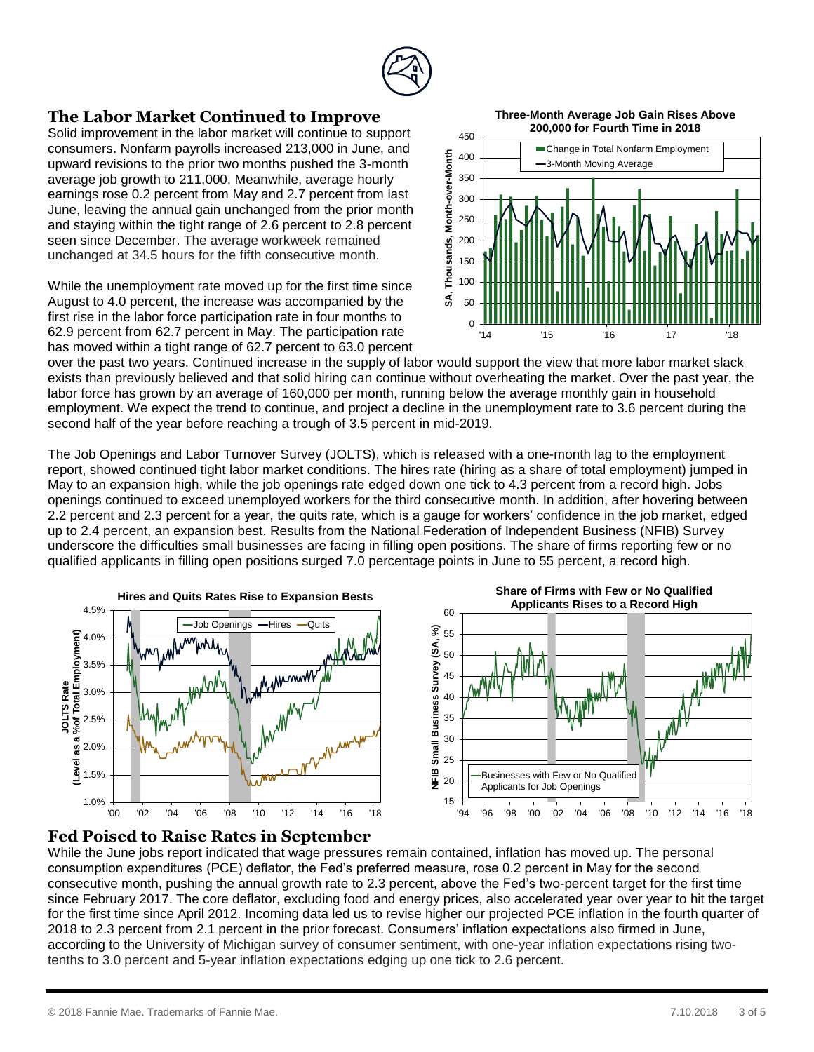

#### **The Labor Market Continued to Improve**

Solid improvement in the labor market will continue to support consumers. Nonfarm payrolls increased 213,000 in June, and upward revisions to the prior two months pushed the 3-month average job growth to 211,000. Meanwhile, average hourly earnings rose 0.2 percent from May and 2.7 percent from last June, leaving the annual gain unchanged from the prior month and staying within the tight range of 2.6 percent to 2.8 percent seen since December. The average workweek remained unchanged at 34.5 hours for the fifth consecutive month.

While the unemployment rate moved up for the first time since August to 4.0 percent, the increase was accompanied by the first rise in the labor force participation rate in four months to 62.9 percent from 62.7 percent in May. The participation rate has moved within a tight range of 62.7 percent to 63.0 percent

**Three-Month Average Job Gain Rises Above 200,000 for Fourth Time in 2018**



over the past two years. Continued increase in the supply of labor would support the view that more labor market slack exists than previously believed and that solid hiring can continue without overheating the market. Over the past year, the labor force has grown by an average of 160,000 per month, running below the average monthly gain in household employment. We expect the trend to continue, and project a decline in the unemployment rate to 3.6 percent during the second half of the year before reaching a trough of 3.5 percent in mid-2019.

The Job Openings and Labor Turnover Survey (JOLTS), which is released with a one-month lag to the employment report, showed continued tight labor market conditions. The hires rate (hiring as a share of total employment) jumped in May to an expansion high, while the job openings rate edged down one tick to 4.3 percent from a record high. Jobs openings continued to exceed unemployed workers for the third consecutive month. In addition, after hovering between 2.2 percent and 2.3 percent for a year, the quits rate, which is a gauge for workers' confidence in the job market, edged up to 2.4 percent, an expansion best. Results from the National Federation of Independent Business (NFIB) Survey underscore the difficulties small businesses are facing in filling open positions. The share of firms reporting few or no qualified applicants in filling open positions surged 7.0 percentage points in June to 55 percent, a record high.



#### **Fed Poised to Raise Rates in September**

While the June jobs report indicated that wage pressures remain contained, inflation has moved up. The personal consumption expenditures (PCE) deflator, the Fed's preferred measure, rose 0.2 percent in May for the second consecutive month, pushing the annual growth rate to 2.3 percent, above the Fed's two-percent target for the first time since February 2017. The core deflator, excluding food and energy prices, also accelerated year over year to hit the target for the first time since April 2012. Incoming data led us to revise higher our projected PCE inflation in the fourth quarter of 2018 to 2.3 percent from 2.1 percent in the prior forecast. Consumers' inflation expectations also firmed in June, according to the University of Michigan survey of consumer sentiment, with one-year inflation expectations rising twotenths to 3.0 percent and 5-year inflation expectations edging up one tick to 2.6 percent.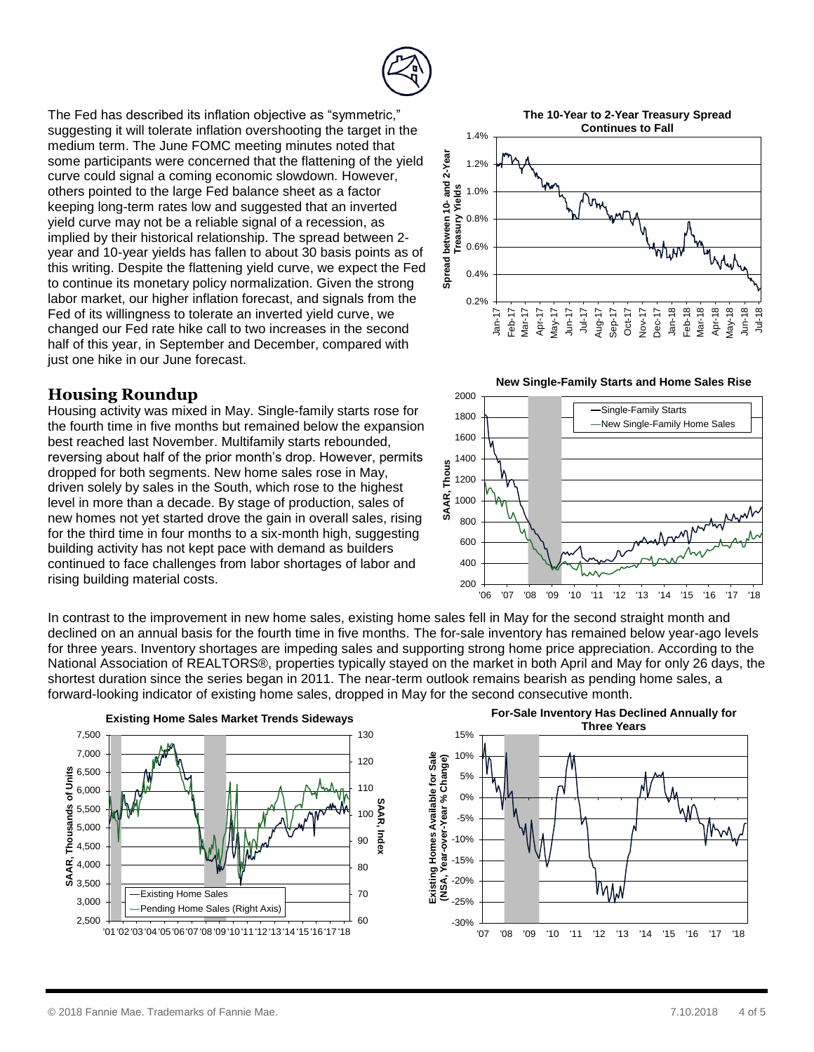

The Fed has described its inflation objective as "symmetric," suggesting it will tolerate inflation overshooting the target in the medium term. The June FOMC meeting minutes noted that some participants were concerned that the flattening of the yield curve could signal a coming economic slowdown. However, others pointed to the large Fed balance sheet as a factor keeping long-term rates low and suggested that an inverted yield curve may not be a reliable signal of a recession, as implied by their historical relationship. The spread between 2 year and 10-year yields has fallen to about 30 basis points as of this writing. Despite the flattening yield curve, we expect the Fed to continue its monetary policy normalization. Given the strong labor market, our higher inflation forecast, and signals from the Fed of its willingness to tolerate an inverted yield curve, we changed our Fed rate hike call to two increases in the second half of this year, in September and December, compared with just one hike in our June forecast.

#### **Housing Roundup**

Housing activity was mixed in May. Single-family starts rose for the fourth time in five months but remained below the expansion best reached last November. Multifamily starts rebounded, reversing about half of the prior month's drop. However, permits dropped for both segments. New home sales rose in May, driven solely by sales in the South, which rose to the highest level in more than a decade. By stage of production, sales of new homes not yet started drove the gain in overall sales, rising for the third time in four months to a six-month high, suggesting building activity has not kept pace with demand as builders continued to face challenges from labor shortages of labor and rising building material costs.







In contrast to the improvement in new home sales, existing home sales fell in May for the second straight month and declined on an annual basis for the fourth time in five months. The for-sale inventory has remained below year-ago levels for three years. Inventory shortages are impeding sales and supporting strong home price appreciation. According to the National Association of REALTORS®, properties typically stayed on the market in both April and May for only 26 days, the shortest duration since the series began in 2011. The near-term outlook remains bearish as pending home sales, a forward-looking indicator of existing home sales, dropped in May for the second consecutive month.